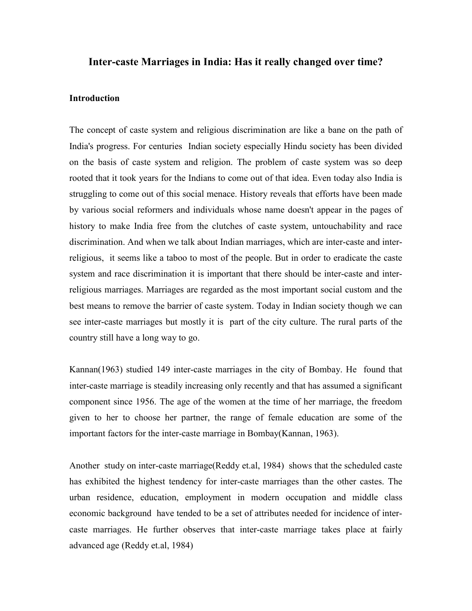## Inter-caste Marriages in India: Has it really changed over time?

### Introduction

The concept of caste system and religious discrimination are like a bane on the path of India's progress. For centuries Indian society especially Hindu society has been divided on the basis of caste system and religion. The problem of caste system was so deep rooted that it took years for the Indians to come out of that idea. Even today also India is struggling to come out of this social menace. History reveals that efforts have been made by various social reformers and individuals whose name doesn't appear in the pages of history to make India free from the clutches of caste system, untouchability and race discrimination. And when we talk about Indian marriages, which are inter-caste and interreligious, it seems like a taboo to most of the people. But in order to eradicate the caste system and race discrimination it is important that there should be inter-caste and interreligious marriages. Marriages are regarded as the most important social custom and the best means to remove the barrier of caste system. Today in Indian society though we can see inter-caste marriages but mostly it is part of the city culture. The rural parts of the country still have a long way to go.

Kannan(1963) studied 149 inter-caste marriages in the city of Bombay. He found that inter-caste marriage is steadily increasing only recently and that has assumed a significant component since 1956. The age of the women at the time of her marriage, the freedom given to her to choose her partner, the range of female education are some of the important factors for the inter-caste marriage in Bombay(Kannan, 1963).

Another study on inter-caste marriage(Reddy et.al, 1984) shows that the scheduled caste has exhibited the highest tendency for inter-caste marriages than the other castes. The urban residence, education, employment in modern occupation and middle class economic background have tended to be a set of attributes needed for incidence of intercaste marriages. He further observes that inter-caste marriage takes place at fairly advanced age (Reddy et.al, 1984)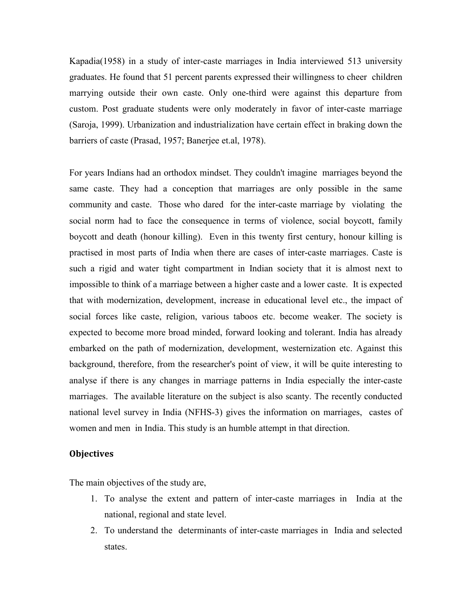Kapadia(1958) in a study of inter-caste marriages in India interviewed 513 university graduates. He found that 51 percent parents expressed their willingness to cheer children marrying outside their own caste. Only one-third were against this departure from custom. Post graduate students were only moderately in favor of inter-caste marriage (Saroja, 1999). Urbanization and industrialization have certain effect in braking down the barriers of caste (Prasad, 1957; Banerjee et.al, 1978).

For years Indians had an orthodox mindset. They couldn't imagine marriages beyond the same caste. They had a conception that marriages are only possible in the same community and caste. Those who dared for the inter-caste marriage by violating the social norm had to face the consequence in terms of violence, social boycott, family boycott and death (honour killing). Even in this twenty first century, honour killing is practised in most parts of India when there are cases of inter-caste marriages. Caste is such a rigid and water tight compartment in Indian society that it is almost next to impossible to think of a marriage between a higher caste and a lower caste. It is expected that with modernization, development, increase in educational level etc., the impact of social forces like caste, religion, various taboos etc. become weaker. The society is expected to become more broad minded, forward looking and tolerant. India has already embarked on the path of modernization, development, westernization etc. Against this background, therefore, from the researcher's point of view, it will be quite interesting to analyse if there is any changes in marriage patterns in India especially the inter-caste marriages. The available literature on the subject is also scanty. The recently conducted national level survey in India (NFHS-3) gives the information on marriages, castes of women and men in India. This study is an humble attempt in that direction.

### **Objectives**

The main objectives of the study are,

- 1. To analyse the extent and pattern of inter-caste marriages in India at the national, regional and state level.
- 2. To understand the determinants of inter-caste marriages in India and selected states.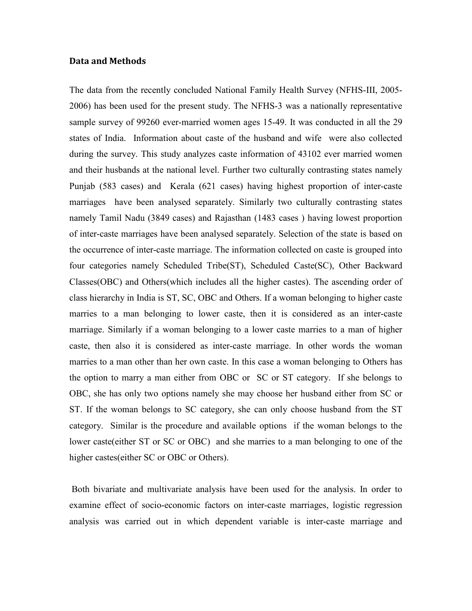### Data and Methods

The data from the recently concluded National Family Health Survey (NFHS-III, 2005- 2006) has been used for the present study. The NFHS-3 was a nationally representative sample survey of 99260 ever-married women ages 15-49. It was conducted in all the 29 states of India. Information about caste of the husband and wife were also collected during the survey. This study analyzes caste information of 43102 ever married women and their husbands at the national level. Further two culturally contrasting states namely Punjab (583 cases) and Kerala (621 cases) having highest proportion of inter-caste marriages have been analysed separately. Similarly two culturally contrasting states namely Tamil Nadu (3849 cases) and Rajasthan (1483 cases ) having lowest proportion of inter-caste marriages have been analysed separately. Selection of the state is based on the occurrence of inter-caste marriage. The information collected on caste is grouped into four categories namely Scheduled Tribe(ST), Scheduled Caste(SC), Other Backward Classes(OBC) and Others(which includes all the higher castes). The ascending order of class hierarchy in India is ST, SC, OBC and Others. If a woman belonging to higher caste marries to a man belonging to lower caste, then it is considered as an inter-caste marriage. Similarly if a woman belonging to a lower caste marries to a man of higher caste, then also it is considered as inter-caste marriage. In other words the woman marries to a man other than her own caste. In this case a woman belonging to Others has the option to marry a man either from OBC or SC or ST category. If she belongs to OBC, she has only two options namely she may choose her husband either from SC or ST. If the woman belongs to SC category, she can only choose husband from the ST category. Similar is the procedure and available options if the woman belongs to the lower caste(either ST or SC or OBC) and she marries to a man belonging to one of the higher castes(either SC or OBC or Others).

 Both bivariate and multivariate analysis have been used for the analysis. In order to examine effect of socio-economic factors on inter-caste marriages, logistic regression analysis was carried out in which dependent variable is inter-caste marriage and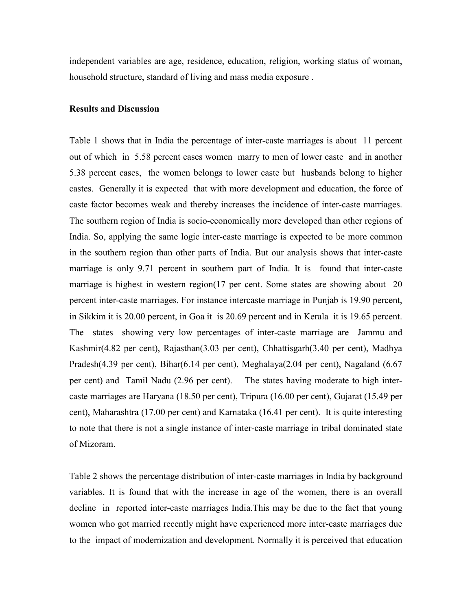independent variables are age, residence, education, religion, working status of woman, household structure, standard of living and mass media exposure .

### Results and Discussion

Table 1 shows that in India the percentage of inter-caste marriages is about 11 percent out of which in 5.58 percent cases women marry to men of lower caste and in another 5.38 percent cases, the women belongs to lower caste but husbands belong to higher castes. Generally it is expected that with more development and education, the force of caste factor becomes weak and thereby increases the incidence of inter-caste marriages. The southern region of India is socio-economically more developed than other regions of India. So, applying the same logic inter-caste marriage is expected to be more common in the southern region than other parts of India. But our analysis shows that inter-caste marriage is only 9.71 percent in southern part of India. It is found that inter-caste marriage is highest in western region(17 per cent. Some states are showing about 20 percent inter-caste marriages. For instance intercaste marriage in Punjab is 19.90 percent, in Sikkim it is 20.00 percent, in Goa it is 20.69 percent and in Kerala it is 19.65 percent. The states showing very low percentages of inter-caste marriage are Jammu and Kashmir(4.82 per cent), Rajasthan(3.03 per cent), Chhattisgarh(3.40 per cent), Madhya Pradesh(4.39 per cent), Bihar(6.14 per cent), Meghalaya(2.04 per cent), Nagaland (6.67 per cent) and Tamil Nadu (2.96 per cent). The states having moderate to high intercaste marriages are Haryana (18.50 per cent), Tripura (16.00 per cent), Gujarat (15.49 per cent), Maharashtra (17.00 per cent) and Karnataka (16.41 per cent). It is quite interesting to note that there is not a single instance of inter-caste marriage in tribal dominated state of Mizoram.

Table 2 shows the percentage distribution of inter-caste marriages in India by background variables. It is found that with the increase in age of the women, there is an overall decline in reported inter-caste marriages India.This may be due to the fact that young women who got married recently might have experienced more inter-caste marriages due to the impact of modernization and development. Normally it is perceived that education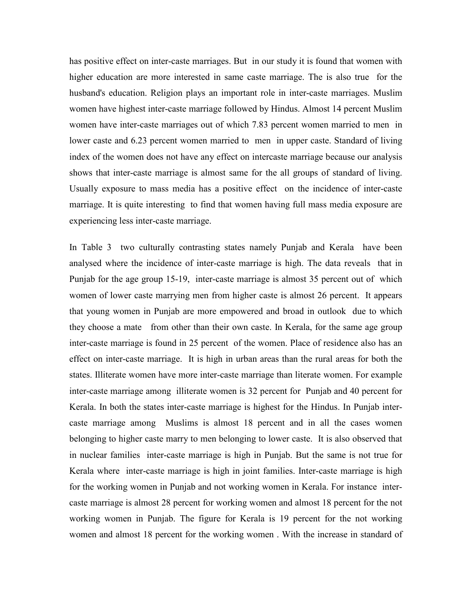has positive effect on inter-caste marriages. But in our study it is found that women with higher education are more interested in same caste marriage. The is also true for the husband's education. Religion plays an important role in inter-caste marriages. Muslim women have highest inter-caste marriage followed by Hindus. Almost 14 percent Muslim women have inter-caste marriages out of which 7.83 percent women married to men in lower caste and 6.23 percent women married to men in upper caste. Standard of living index of the women does not have any effect on intercaste marriage because our analysis shows that inter-caste marriage is almost same for the all groups of standard of living. Usually exposure to mass media has a positive effect on the incidence of inter-caste marriage. It is quite interesting to find that women having full mass media exposure are experiencing less inter-caste marriage.

In Table 3 two culturally contrasting states namely Punjab and Kerala have been analysed where the incidence of inter-caste marriage is high. The data reveals that in Punjab for the age group 15-19, inter-caste marriage is almost 35 percent out of which women of lower caste marrying men from higher caste is almost 26 percent. It appears that young women in Punjab are more empowered and broad in outlook due to which they choose a mate from other than their own caste. In Kerala, for the same age group inter-caste marriage is found in 25 percent of the women. Place of residence also has an effect on inter-caste marriage. It is high in urban areas than the rural areas for both the states. Illiterate women have more inter-caste marriage than literate women. For example inter-caste marriage among illiterate women is 32 percent for Punjab and 40 percent for Kerala. In both the states inter-caste marriage is highest for the Hindus. In Punjab intercaste marriage among Muslims is almost 18 percent and in all the cases women belonging to higher caste marry to men belonging to lower caste. It is also observed that in nuclear families inter-caste marriage is high in Punjab. But the same is not true for Kerala where inter-caste marriage is high in joint families. Inter-caste marriage is high for the working women in Punjab and not working women in Kerala. For instance intercaste marriage is almost 28 percent for working women and almost 18 percent for the not working women in Punjab. The figure for Kerala is 19 percent for the not working women and almost 18 percent for the working women . With the increase in standard of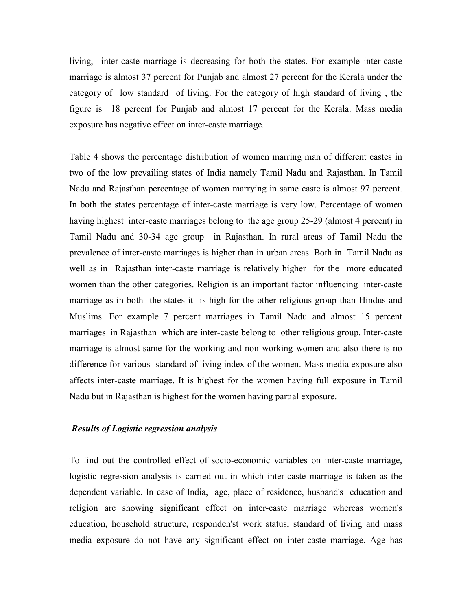living, inter-caste marriage is decreasing for both the states. For example inter-caste marriage is almost 37 percent for Punjab and almost 27 percent for the Kerala under the category of low standard of living. For the category of high standard of living , the figure is 18 percent for Punjab and almost 17 percent for the Kerala. Mass media exposure has negative effect on inter-caste marriage.

Table 4 shows the percentage distribution of women marring man of different castes in two of the low prevailing states of India namely Tamil Nadu and Rajasthan. In Tamil Nadu and Rajasthan percentage of women marrying in same caste is almost 97 percent. In both the states percentage of inter-caste marriage is very low. Percentage of women having highest inter-caste marriages belong to the age group 25-29 (almost 4 percent) in Tamil Nadu and 30-34 age group in Rajasthan. In rural areas of Tamil Nadu the prevalence of inter-caste marriages is higher than in urban areas. Both in Tamil Nadu as well as in Rajasthan inter-caste marriage is relatively higher for the more educated women than the other categories. Religion is an important factor influencing inter-caste marriage as in both the states it is high for the other religious group than Hindus and Muslims. For example 7 percent marriages in Tamil Nadu and almost 15 percent marriages in Rajasthan which are inter-caste belong to other religious group. Inter-caste marriage is almost same for the working and non working women and also there is no difference for various standard of living index of the women. Mass media exposure also affects inter-caste marriage. It is highest for the women having full exposure in Tamil Nadu but in Rajasthan is highest for the women having partial exposure.

### Results of Logistic regression analysis

To find out the controlled effect of socio-economic variables on inter-caste marriage, logistic regression analysis is carried out in which inter-caste marriage is taken as the dependent variable. In case of India, age, place of residence, husband's education and religion are showing significant effect on inter-caste marriage whereas women's education, household structure, responden'st work status, standard of living and mass media exposure do not have any significant effect on inter-caste marriage. Age has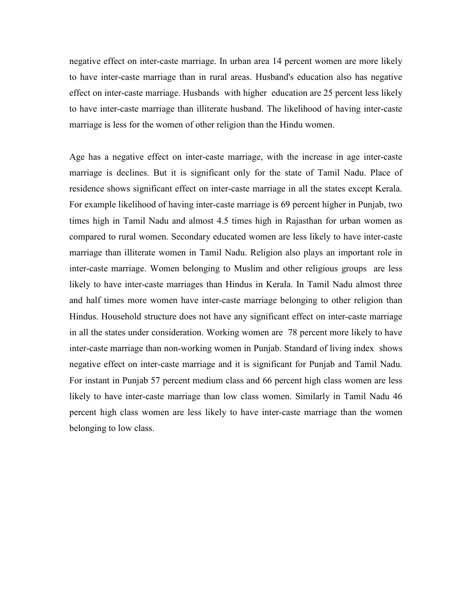negative effect on inter-caste marriage. In urban area 14 percent women are more likely to have inter-caste marriage than in rural areas. Husband's education also has negative effect on inter-caste marriage. Husbands with higher education are 25 percent less likely to have inter-caste marriage than illiterate husband. The likelihood of having inter-caste marriage is less for the women of other religion than the Hindu women.

Age has a negative effect on inter-caste marriage, with the increase in age inter-caste marriage is declines. But it is significant only for the state of Tamil Nadu. Place of residence shows significant effect on inter-caste marriage in all the states except Kerala. For example likelihood of having inter-caste marriage is 69 percent higher in Punjab, two times high in Tamil Nadu and almost 4.5 times high in Rajasthan for urban women as compared to rural women. Secondary educated women are less likely to have inter-caste marriage than illiterate women in Tamil Nadu. Religion also plays an important role in inter-caste marriage. Women belonging to Muslim and other religious groups are less likely to have inter-caste marriages than Hindus in Kerala. In Tamil Nadu almost three and half times more women have inter-caste marriage belonging to other religion than Hindus. Household structure does not have any significant effect on inter-caste marriage in all the states under consideration. Working women are 78 percent more likely to have inter-caste marriage than non-working women in Punjab. Standard of living index shows negative effect on inter-caste marriage and it is significant for Punjab and Tamil Nadu. For instant in Punjab 57 percent medium class and 66 percent high class women are less likely to have inter-caste marriage than low class women. Similarly in Tamil Nadu 46 percent high class women are less likely to have inter-caste marriage than the women belonging to low class.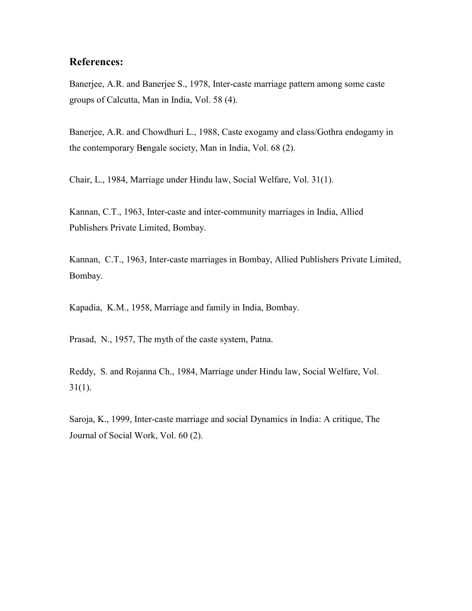# References:

Banerjee, A.R. and Banerjee S., 1978, Inter-caste marriage pattern among some caste groups of Calcutta, Man in India, Vol. 58 (4).

Banerjee, A.R. and Chowdhuri L., 1988, Caste exogamy and class/Gothra endogamy in the contemporary Bengale society, Man in India, Vol. 68 (2).

Chair, L., 1984, Marriage under Hindu law, Social Welfare, Vol. 31(1).

Kannan, C.T., 1963, Inter-caste and inter-community marriages in India, Allied Publishers Private Limited, Bombay.

Kannan, C.T., 1963, Inter-caste marriages in Bombay, Allied Publishers Private Limited, Bombay.

Kapadia, K.M., 1958, Marriage and family in India, Bombay.

Prasad, N., 1957, The myth of the caste system, Patna.

Reddy, S. and Rojanna Ch., 1984, Marriage under Hindu law, Social Welfare, Vol.  $31(1)$ .

Saroja, K., 1999, Inter-caste marriage and social Dynamics in India: A critique, The Journal of Social Work, Vol. 60 (2).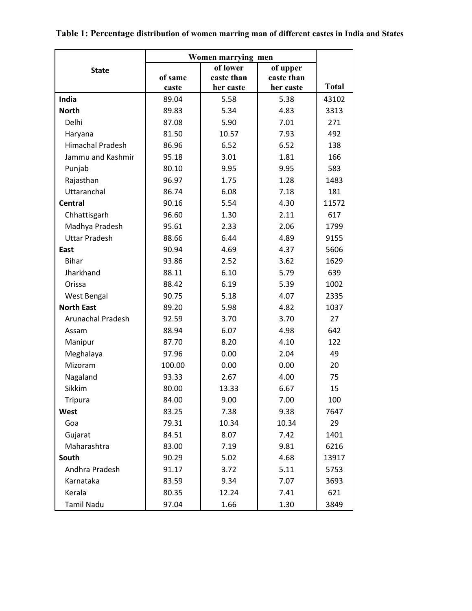|                          | Women marrying men |            |            |              |
|--------------------------|--------------------|------------|------------|--------------|
| <b>State</b>             |                    | of lower   | of upper   |              |
|                          | of same            | caste than | caste than |              |
|                          | caste              | her caste  | her caste  | <b>Total</b> |
| India                    | 89.04              | 5.58       | 5.38       | 43102        |
| <b>North</b>             | 89.83              | 5.34       | 4.83       | 3313         |
| Delhi                    | 87.08              | 5.90       | 7.01       | 271          |
| Haryana                  | 81.50              | 10.57      | 7.93       | 492          |
| <b>Himachal Pradesh</b>  | 86.96              | 6.52       | 6.52       | 138          |
| Jammu and Kashmir        | 95.18              | 3.01       | 1.81       | 166          |
| Punjab                   | 80.10              | 9.95       | 9.95       | 583          |
| Rajasthan                | 96.97              | 1.75       | 1.28       | 1483         |
| Uttaranchal              | 86.74              | 6.08       | 7.18       | 181          |
| Central                  | 90.16              | 5.54       | 4.30       | 11572        |
| Chhattisgarh             | 96.60              | 1.30       | 2.11       | 617          |
| Madhya Pradesh           | 95.61              | 2.33       | 2.06       | 1799         |
| <b>Uttar Pradesh</b>     | 88.66              | 6.44       | 4.89       | 9155         |
| East                     | 90.94              | 4.69       | 4.37       | 5606         |
| <b>Bihar</b>             | 93.86              | 2.52       | 3.62       | 1629         |
| Jharkhand                | 88.11              | 6.10       | 5.79       | 639          |
| Orissa                   | 88.42              | 6.19       | 5.39       | 1002         |
| <b>West Bengal</b>       | 90.75              | 5.18       | 4.07       | 2335         |
| <b>North East</b>        | 89.20              | 5.98       | 4.82       | 1037         |
| <b>Arunachal Pradesh</b> | 92.59              | 3.70       | 3.70       | 27           |
| Assam                    | 88.94              | 6.07       | 4.98       | 642          |
| Manipur                  | 87.70              | 8.20       | 4.10       | 122          |
| Meghalaya                | 97.96              | 0.00       | 2.04       | 49           |
| Mizoram                  | 100.00             | 0.00       | 0.00       | 20           |
| Nagaland                 | 93.33              | 2.67       | 4.00       | 75           |
| Sikkim                   | 80.00              | 13.33      | 6.67       | 15           |
| <b>Tripura</b>           | 84.00              | 9.00       | 7.00       | 100          |
| West                     | 83.25              | 7.38       | 9.38       | 7647         |
| Goa                      | 79.31              | 10.34      | 10.34      | 29           |
| Gujarat                  | 84.51              | 8.07       | 7.42       | 1401         |
| Maharashtra              | 83.00              | 7.19       | 9.81       | 6216         |
| South                    | 90.29              | 5.02       | 4.68       | 13917        |
| Andhra Pradesh           | 91.17              | 3.72       | 5.11       | 5753         |
| Karnataka                | 83.59              | 9.34       | 7.07       | 3693         |
| Kerala                   | 80.35              | 12.24      | 7.41       | 621          |
| <b>Tamil Nadu</b>        | 97.04              | 1.66       | 1.30       | 3849         |

# Table 1: Percentage distribution of women marring man of different castes in India and States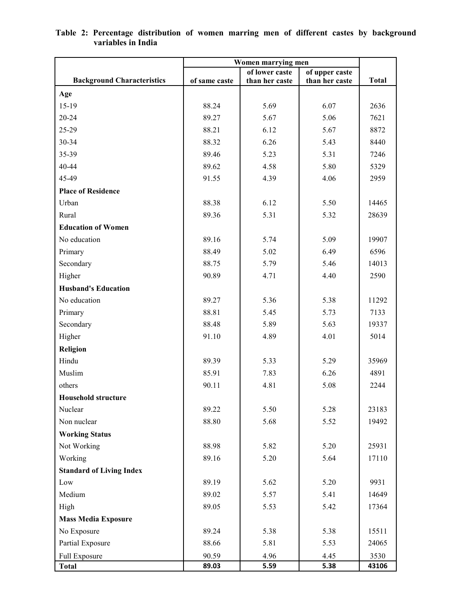|                                   | Women marrying men |                |                |              |  |  |  |  |
|-----------------------------------|--------------------|----------------|----------------|--------------|--|--|--|--|
|                                   |                    | of lower caste | of upper caste |              |  |  |  |  |
| <b>Background Characteristics</b> | of same caste      | than her caste | than her caste | <b>Total</b> |  |  |  |  |
| Age                               |                    |                |                |              |  |  |  |  |
| 15-19                             | 88.24              | 5.69           | 6.07           | 2636         |  |  |  |  |
| $20 - 24$                         | 89.27              | 5.67           | 5.06           | 7621         |  |  |  |  |
| 25-29                             | 88.21              | 6.12           | 5.67           | 8872         |  |  |  |  |
| 30-34                             | 88.32              | 6.26           | 5.43           | 8440         |  |  |  |  |
| 35-39                             | 89.46              | 5.23           | 5.31           | 7246         |  |  |  |  |
| 40-44                             | 89.62              | 4.58           | 5.80           | 5329         |  |  |  |  |
| 45-49                             | 91.55              | 4.39           | 4.06           | 2959         |  |  |  |  |
| <b>Place of Residence</b>         |                    |                |                |              |  |  |  |  |
| Urban                             | 88.38              | 6.12           | 5.50           | 14465        |  |  |  |  |
| Rural                             | 89.36              | 5.31           | 5.32           | 28639        |  |  |  |  |
| <b>Education of Women</b>         |                    |                |                |              |  |  |  |  |
| No education                      | 89.16              | 5.74           | 5.09           | 19907        |  |  |  |  |
| Primary                           | 88.49              | 5.02           | 6.49           | 6596         |  |  |  |  |
| Secondary                         | 88.75              | 5.79           | 5.46           | 14013        |  |  |  |  |
| Higher                            | 90.89              | 4.71           | 4.40           | 2590         |  |  |  |  |
| <b>Husband's Education</b>        |                    |                |                |              |  |  |  |  |
| No education                      | 89.27              | 5.36           | 5.38           | 11292        |  |  |  |  |
| Primary                           | 88.81              | 5.45           | 5.73           | 7133         |  |  |  |  |
| Secondary                         | 88.48              | 5.89           | 5.63           | 19337        |  |  |  |  |
| Higher                            | 91.10              | 4.89           | 4.01           | 5014         |  |  |  |  |
| Religion                          |                    |                |                |              |  |  |  |  |
| Hindu                             | 89.39              | 5.33           | 5.29           | 35969        |  |  |  |  |
| Muslim                            | 85.91              | 7.83           | 6.26           | 4891         |  |  |  |  |
| others                            | 90.11              | 4.81           | 5.08           | 2244         |  |  |  |  |
| <b>Household structure</b>        |                    |                |                |              |  |  |  |  |
| Nuclear                           | 89.22              | 5.50           | 5.28           | 23183        |  |  |  |  |
| Non nuclear                       | 88.80              | 5.68           | 5.52           | 19492        |  |  |  |  |
| <b>Working Status</b>             |                    |                |                |              |  |  |  |  |
| Not Working                       | 88.98              | 5.82           | 5.20           | 25931        |  |  |  |  |
| Working                           | 89.16              | 5.20           | 5.64           | 17110        |  |  |  |  |
| <b>Standard of Living Index</b>   |                    |                |                |              |  |  |  |  |
| Low                               | 89.19              | 5.62           | 5.20           | 9931         |  |  |  |  |
| Medium                            | 89.02              | 5.57           | 5.41           | 14649        |  |  |  |  |
| High                              | 89.05              | 5.53           | 5.42           | 17364        |  |  |  |  |
| <b>Mass Media Exposure</b>        |                    |                |                |              |  |  |  |  |
| No Exposure                       | 89.24              | 5.38           | 5.38           | 15511        |  |  |  |  |
| Partial Exposure                  | 88.66              | 5.81           | 5.53           | 24065        |  |  |  |  |
| Full Exposure                     | 90.59              | 4.96           | 4.45           | 3530         |  |  |  |  |
| <b>Total</b>                      | 89.03              | 5.59           | 5.38           | 43106        |  |  |  |  |

#### Table 2: Percentage distribution of women marring men of different castes by background variables in India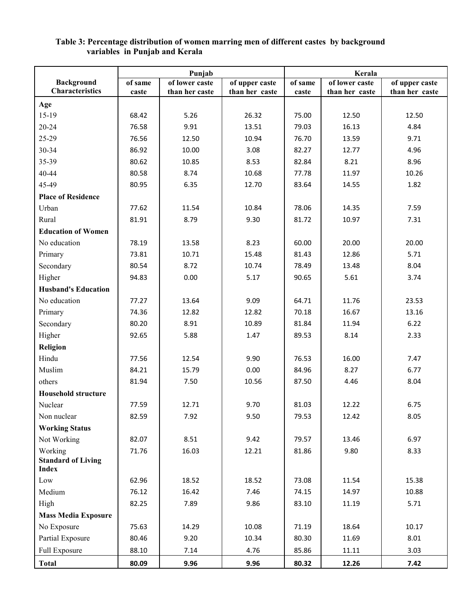|                                           | Punjab  |                | Kerala         |         |                |                |  |
|-------------------------------------------|---------|----------------|----------------|---------|----------------|----------------|--|
| <b>Background</b>                         | of same | of lower caste | of upper caste | of same | of lower caste | of upper caste |  |
| <b>Characteristics</b>                    | caste   | than her caste | than her caste | caste   | than her caste | than her caste |  |
| Age                                       |         |                |                |         |                |                |  |
| 15-19                                     | 68.42   | 5.26           | 26.32          | 75.00   | 12.50          | 12.50          |  |
| $20 - 24$                                 | 76.58   | 9.91           | 13.51          | 79.03   | 16.13          | 4.84           |  |
| 25-29                                     | 76.56   | 12.50          | 10.94          | 76.70   | 13.59          | 9.71           |  |
| 30-34                                     | 86.92   | 10.00          | 3.08           | 82.27   | 12.77          | 4.96           |  |
| 35-39                                     | 80.62   | 10.85          | 8.53           | 82.84   | 8.21           | 8.96           |  |
| 40-44                                     | 80.58   | 8.74           | 10.68          | 77.78   | 11.97          | 10.26          |  |
| 45-49                                     | 80.95   | 6.35           | 12.70          | 83.64   | 14.55          | 1.82           |  |
| <b>Place of Residence</b>                 |         |                |                |         |                |                |  |
| Urban                                     | 77.62   | 11.54          | 10.84          | 78.06   | 14.35          | 7.59           |  |
| Rural                                     | 81.91   | 8.79           | 9.30           | 81.72   | 10.97          | 7.31           |  |
| <b>Education of Women</b>                 |         |                |                |         |                |                |  |
| No education                              | 78.19   | 13.58          | 8.23           | 60.00   | 20.00          | 20.00          |  |
| Primary                                   | 73.81   | 10.71          | 15.48          | 81.43   | 12.86          | 5.71           |  |
| Secondary                                 | 80.54   | 8.72           | 10.74          | 78.49   | 13.48          | 8.04           |  |
| Higher                                    | 94.83   | 0.00           | 5.17           | 90.65   | 5.61           | 3.74           |  |
| <b>Husband's Education</b>                |         |                |                |         |                |                |  |
| No education                              | 77.27   | 13.64          | 9.09           | 64.71   | 11.76          | 23.53          |  |
| Primary                                   | 74.36   | 12.82          | 12.82          | 70.18   | 16.67          | 13.16          |  |
| Secondary                                 | 80.20   | 8.91           | 10.89          | 81.84   | 11.94          | 6.22           |  |
| Higher                                    | 92.65   | 5.88           | 1.47           | 89.53   | 8.14           | 2.33           |  |
| Religion                                  |         |                |                |         |                |                |  |
| Hindu                                     | 77.56   | 12.54          | 9.90           | 76.53   | 16.00          | 7.47           |  |
| Muslim                                    | 84.21   | 15.79          | 0.00           | 84.96   | 8.27           | 6.77           |  |
| others                                    | 81.94   | 7.50           | 10.56          | 87.50   | 4.46           | 8.04           |  |
| <b>Household structure</b>                |         |                |                |         |                |                |  |
| Nuclear                                   | 77.59   | 12.71          | 9.70           | 81.03   | 12.22          | 6.75           |  |
| Non nuclear                               | 82.59   | 7.92           | 9.50           | 79.53   | 12.42          | 8.05           |  |
| <b>Working Status</b>                     |         |                |                |         |                |                |  |
| Not Working                               | 82.07   | 8.51           | 9.42           | 79.57   | 13.46          | 6.97           |  |
| Working                                   | 71.76   | 16.03          | 12.21          | 81.86   | 9.80           | 8.33           |  |
| <b>Standard of Living</b><br><b>Index</b> |         |                |                |         |                |                |  |
| Low                                       | 62.96   | 18.52          | 18.52          | 73.08   | 11.54          | 15.38          |  |
| Medium                                    | 76.12   | 16.42          | 7.46           | 74.15   | 14.97          | 10.88          |  |
| High                                      | 82.25   | 7.89           | 9.86           | 83.10   | 11.19          | 5.71           |  |
| <b>Mass Media Exposure</b>                |         |                |                |         |                |                |  |
| No Exposure                               | 75.63   | 14.29          | 10.08          | 71.19   | 18.64          | 10.17          |  |
| Partial Exposure                          | 80.46   | 9.20           | 10.34          | 80.30   | 11.69          | 8.01           |  |
| Full Exposure                             | 88.10   | 7.14           | 4.76           | 85.86   | 11.11          | 3.03           |  |
| <b>Total</b>                              | 80.09   | 9.96           | 9.96           | 80.32   | 12.26          | 7.42           |  |

### Table 3: Percentage distribution of women marring men of different castes by background variables in Punjab and Kerala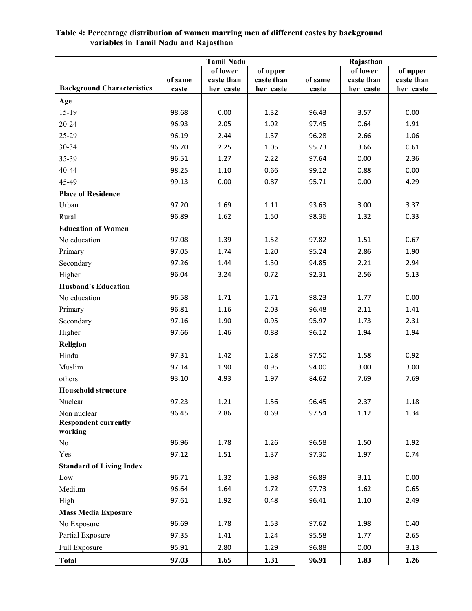|                                   | <b>Tamil Nadu</b> |            |            | Rajasthan |            |            |  |  |  |
|-----------------------------------|-------------------|------------|------------|-----------|------------|------------|--|--|--|
|                                   | of lower          |            | of upper   |           | of lower   | of upper   |  |  |  |
| <b>Background Characteristics</b> | of same           | caste than | caste than | of same   | caste than | caste than |  |  |  |
|                                   | caste             | her caste  | her caste  | caste     | her caste  | her caste  |  |  |  |
| Age                               |                   |            |            |           |            |            |  |  |  |
| $15-19$                           | 98.68             | 0.00       | 1.32       | 96.43     | 3.57       | 0.00       |  |  |  |
| 20-24                             | 96.93             | 2.05       | 1.02       | 97.45     | 0.64       | 1.91       |  |  |  |
| 25-29                             | 96.19             | 2.44       | 1.37       | 96.28     | 2.66       | 1.06       |  |  |  |
| 30-34                             | 96.70             | 2.25       | 1.05       | 95.73     | 3.66       | 0.61       |  |  |  |
| 35-39                             | 96.51             | 1.27       | 2.22       | 97.64     | 0.00       | 2.36       |  |  |  |
| 40-44                             | 98.25             | 1.10       | 0.66       | 99.12     | 0.88       | 0.00       |  |  |  |
| 45-49                             | 99.13             | 0.00       | 0.87       | 95.71     | 0.00       | 4.29       |  |  |  |
| <b>Place of Residence</b>         |                   |            |            |           |            |            |  |  |  |
| Urban                             | 97.20             | 1.69       | 1.11       | 93.63     | 3.00       | 3.37       |  |  |  |
| Rural                             | 96.89             | 1.62       | 1.50       | 98.36     | 1.32       | 0.33       |  |  |  |
| <b>Education of Women</b>         |                   |            |            |           |            |            |  |  |  |
| No education                      | 97.08             | 1.39       | 1.52       | 97.82     | 1.51       | 0.67       |  |  |  |
| Primary                           | 97.05             | 1.74       | 1.20       | 95.24     | 2.86       | 1.90       |  |  |  |
| Secondary                         | 97.26             | 1.44       | 1.30       | 94.85     | 2.21       | 2.94       |  |  |  |
| Higher                            | 96.04             | 3.24       | 0.72       | 92.31     | 2.56       | 5.13       |  |  |  |
| <b>Husband's Education</b>        |                   |            |            |           |            |            |  |  |  |
| No education                      | 96.58             | 1.71       | 1.71       | 98.23     | 1.77       | 0.00       |  |  |  |
| Primary                           | 96.81             | 1.16       | 2.03       | 96.48     | 2.11       | 1.41       |  |  |  |
| Secondary                         | 97.16             | 1.90       | 0.95       | 95.97     | 1.73       | 2.31       |  |  |  |
| Higher                            | 97.66             | 1.46       | 0.88       | 96.12     | 1.94       | 1.94       |  |  |  |
| Religion                          |                   |            |            |           |            |            |  |  |  |
| Hindu                             | 97.31             | 1.42       | 1.28       | 97.50     | 1.58       | 0.92       |  |  |  |
| Muslim                            | 97.14             | 1.90       | 0.95       | 94.00     | 3.00       | 3.00       |  |  |  |
| others                            | 93.10             | 4.93       | 1.97       | 84.62     | 7.69       | 7.69       |  |  |  |
| <b>Household structure</b>        |                   |            |            |           |            |            |  |  |  |
| Nuclear                           | 97.23             | 1.21       | 1.56       | 96.45     | 2.37       | 1.18       |  |  |  |
| Non nuclear                       | 96.45             | 2.86       | 0.69       | 97.54     | 1.12       | 1.34       |  |  |  |
| <b>Respondent currently</b>       |                   |            |            |           |            |            |  |  |  |
| working                           |                   |            |            |           |            |            |  |  |  |
| No                                | 96.96             | 1.78       | 1.26       | 96.58     | 1.50       | 1.92       |  |  |  |
| Yes                               | 97.12             | 1.51       | 1.37       | 97.30     | 1.97       | 0.74       |  |  |  |
| <b>Standard of Living Index</b>   |                   |            |            |           |            |            |  |  |  |
| Low                               | 96.71             | 1.32       | 1.98       | 96.89     | 3.11       | 0.00       |  |  |  |
| Medium                            | 96.64             | 1.64       | 1.72       | 97.73     | 1.62       | 0.65       |  |  |  |
| High                              | 97.61             | 1.92       | 0.48       | 96.41     | 1.10       | 2.49       |  |  |  |
| <b>Mass Media Exposure</b>        |                   |            |            |           |            |            |  |  |  |
| No Exposure                       | 96.69             | 1.78       | 1.53       | 97.62     | 1.98       | 0.40       |  |  |  |
| Partial Exposure                  | 97.35             | 1.41       | 1.24       | 95.58     | 1.77       | 2.65       |  |  |  |
| Full Exposure                     | 95.91             | 2.80       | 1.29       | 96.88     | 0.00       | 3.13       |  |  |  |
| <b>Total</b>                      | 97.03             | 1.65       | 1.31       | 96.91     | 1.83       | 1.26       |  |  |  |

### Table 4: Percentage distribution of women marring men of different castes by background variables in Tamil Nadu and Rajasthan